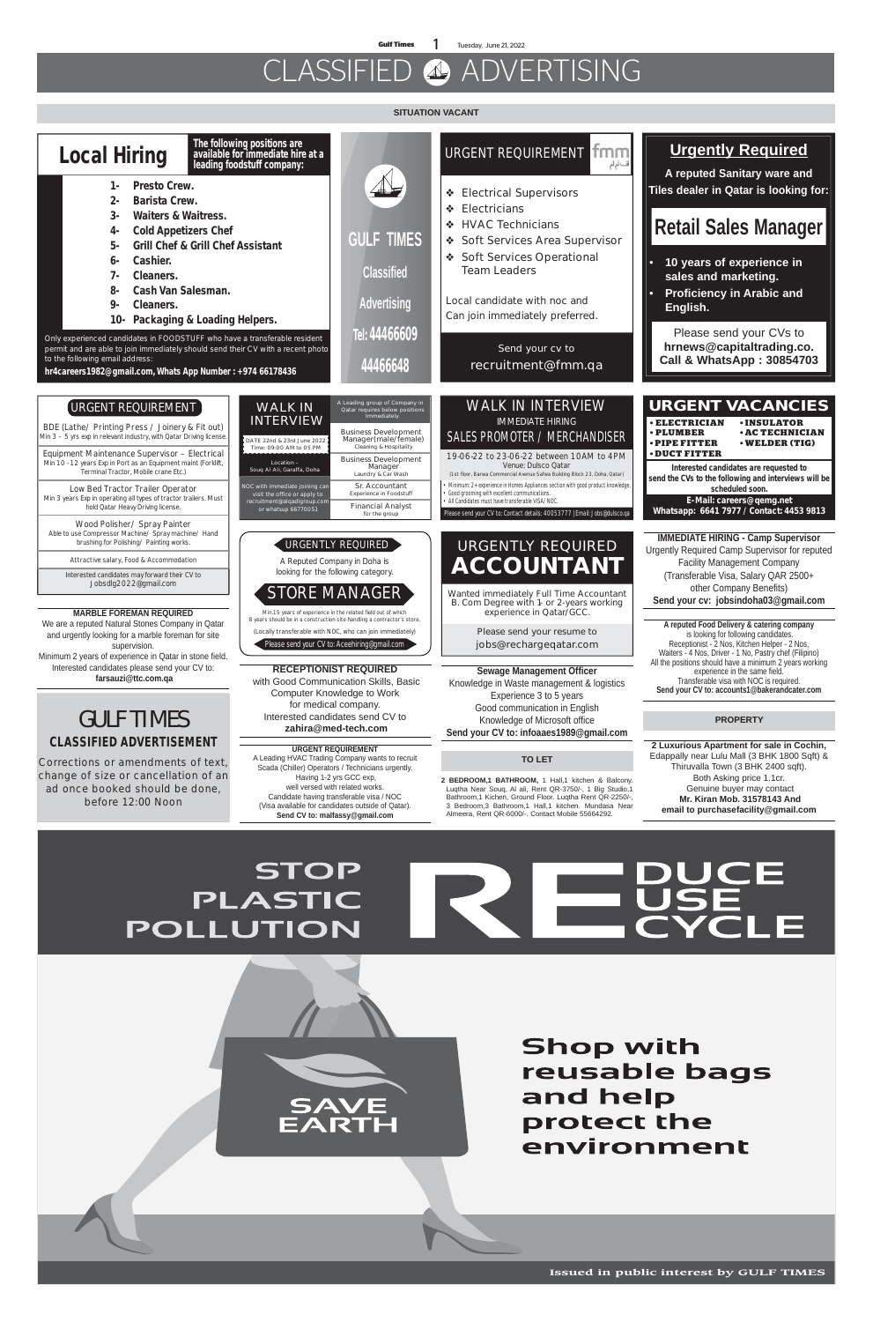**Gulf Times** 1 Tuesday, June 21, 2022

# CLASSIFIED 4 ADVERTISING

**Issued in public interest by GULF TIMES**

#### **SITUATION VACANT**

**2 BEDROOM,1 BATHROOM,** 1 Hall,1 kitchen & Balcony.

Luqtha Near Souq, Al ali, Rent QR-3750/-, 1 Big Studio,1 Bathroom,1 Kichen, Ground Floor. Luqtha Rent QR-2250/-, 3 Bedroom,3 Bathroom,1 Hall,1 kitchen. Mundasa Near Almeera, Rent QR-6000/-. Contact Mobile 55664292.

Edappally near Lulu Mall (3 BHK 1800 Sqft) & Thiruvalla Town (3 BHK 2400 sqft). Both Asking price 1.1cr. Genuine buyer may contact

 **Mr. Kiran Mob. 31578143 And email to purchasefacility@gmail.com**

#### **STOP** CE DUCE<br>USE<br>CYCLE **PLASTIC**  $\equiv$ POLLUTION



**Shop with** reusable bags and help protect the environment

| <b>Local Hiring</b><br><b>Presto Crew.</b><br>$1 -$<br><b>Barista Crew.</b><br>2-<br>$3-$<br><b>Waiters &amp; Waitress.</b><br><b>Cold Appetizers Chef</b><br>4-<br><b>Grill Chef &amp; Grill Chef Assistant</b><br>5-<br>Cashier.<br>6-<br>Cleaners.<br><b>Cash Van Salesman.</b><br>8-<br>9-<br>Cleaners.<br>Packaging & Loading Helpers.<br>Only experienced candidates in FOODSTUFF who have a transferable resident<br>permit and are able to join immediately should send their CV with a recent photo<br>to the following email address:<br>hr4careers1982@gmail.com, Whats App Number: +974 66178436 | The following positions are<br>available for immediate hire at a<br>leading foodstuff company:<br><b>GULF TIMES</b><br><b>Classified</b><br><b>Advertising</b><br>Tel: 44466609<br>44466648                                                                                                                                                                                                                                                                                                                                                                                                  | tmm<br><b>URGENT REQUIREMENT</b><br>فالمهلم<br><b>Electrical Supervisors</b><br>❖<br><b>Electricians</b><br>❖<br><b>HVAC Technicians</b><br>泰。<br>Soft Services Area Supervisor<br>Soft Services Operational<br><b>Team Leaders</b><br>Local candidate with noc and<br>Can join immediately preferred.<br>Send your cv to<br>recruitment@fmm.qa                                                                                                                                                        | <b>Urgently Required</b><br>A reputed Sanitary ware and<br>Tiles dealer in Qatar is looking for:<br><b>Retail Sales Manager</b><br>10 years of experience in<br>sales and marketing.<br><b>Proficiency in Arabic and</b><br>English.<br>Please send your CVs to<br>hrnews@capitaltrading.co.<br><b>Call &amp; WhatsApp: 30854703</b>                                                                                                                                                                                                                                                                                                                   |
|--------------------------------------------------------------------------------------------------------------------------------------------------------------------------------------------------------------------------------------------------------------------------------------------------------------------------------------------------------------------------------------------------------------------------------------------------------------------------------------------------------------------------------------------------------------------------------------------------------------|----------------------------------------------------------------------------------------------------------------------------------------------------------------------------------------------------------------------------------------------------------------------------------------------------------------------------------------------------------------------------------------------------------------------------------------------------------------------------------------------------------------------------------------------------------------------------------------------|--------------------------------------------------------------------------------------------------------------------------------------------------------------------------------------------------------------------------------------------------------------------------------------------------------------------------------------------------------------------------------------------------------------------------------------------------------------------------------------------------------|--------------------------------------------------------------------------------------------------------------------------------------------------------------------------------------------------------------------------------------------------------------------------------------------------------------------------------------------------------------------------------------------------------------------------------------------------------------------------------------------------------------------------------------------------------------------------------------------------------------------------------------------------------|
| URGENT REQUIREMENT<br>BDE (Lathe/ Printing Press / Joinery & Fit out)<br>Min $3 - 5$ yrs exp in relevant industry, with Qatar Driving license.<br>Equipment Maintenance Supervisor - Electrical<br>Min 10 - 12 years Exp in Port as an Equipment maint (Forklift,<br>Terminal Tractor, Mobile crane Etc.)<br>Low Bed Tractor Trailer Operator<br>Min 3 years Exp in operating all types of tractor trailers. Must<br>hold Qatar Heavy Driving license.                                                                                                                                                       | A Leading group of Company in<br><b>WALK IN</b><br>Qatar requires below positions<br>Immediately<br><b>INTERVIEW</b><br><b>Business Development</b><br>Manager(male/female)<br>DATE 22nd & 23rd June 2022<br>Cleaning & Hospitality<br>Time: 09:00 AM to 05 PM<br><b>Business Development</b><br>Location -<br>Manager<br>Soug Al Ali, Garaffa, Doha<br>Laundry & Car Wash<br>Sr. Accountant<br>NOC with immediate joining can<br>Experience in Foodstuff<br>visit the office or apply to<br>recruitment@alqadigroup.com<br><b>Financial Analyst</b><br>or whatsup 66770051<br>for the group | <b>WALK IN INTERVIEW</b><br><b>IMMEDIATE HIRING</b><br>SALES PROMOTER / MERCHANDISER<br>19-06-22 to 23-06-22 between 10AM to 4PM<br>Venue: Dulsco Qatar<br>(1st floor, Barwa Commercial Avenue Safwa Building Block 23, Doha, Qatar)<br>Minimum: 2+ experience in Homes Appliances section with good product knowledge.<br>Good grooming with excellent communications.<br>All Candidates must have transferable VISA/NOC<br>Please send your CV to: Contact details: 40053777   Email: Jobs@dulsco.qa | <b>URGENT VACANCIES</b><br><b>• ELECTRICIAN</b><br><b>.INSULATOR</b><br>· PLUMBER<br><b>. AC TECHNICIAN</b><br>· PIPE FITTER<br><b>• WELDER (TIG)</b><br><b>DUCT FITTER</b><br>Interested candidates are requested to<br>send the CVs to the following and interviews will be<br>scheduled soon.<br>E-Mail: careers@qemg.net<br>Whatsapp: 6641 7977 / Contact: 4453 9813                                                                                                                                                                                                                                                                               |
| Wood Polisher/ Spray Painter<br>Able to use Compressor Machine/ Spray machine/ Hand<br>brushing for Polishing/ Painting works.<br>Attractive salary, Food & Accommodation<br>Interested candidates may forward their CV to<br>Jobsdlg2022@gmail.com<br><b>MARBLE FOREMAN REQUIRED</b><br>We are a reputed Natural Stones Company in Qatar<br>and urgently looking for a marble foreman for site<br>supervision.<br>Minimum 2 years of experience in Qatar in stone field.<br>Interested candidates please send your CV to:<br>farsauzi@ttc.com.qa<br><b>GULF TIMES</b>                                       | Urgently required $\,$<br>A Reputed Company in Doha is<br>looking for the following category.<br><b>STORE MANAGER</b><br>Min.15 years of experience in the related field out of which<br>8 years should be in a construction site handling a contractor's store.<br>(Locally transferable with NOC, who can join immediately)<br>Please send your CV to: Aceehiring@gmail.com<br><b>RECEPTIONIST REQUIRED</b><br>with Good Communication Skills, Basic<br><b>Computer Knowledge to Work</b><br>for medical company.<br>Interested candidates send CV to                                      | URGENTLY REQUIRED<br><b>ACCOUNTANT</b><br>Wanted immediately Full Time Accountant<br>B. Com Degree with 1- or 2-years working<br>experience in Qatar/GCC.<br>Please send your resume to<br>jobs@rechargeqatar.com<br><b>Sewage Management Officer</b><br>Knowledge in Waste management & logistics<br>Experience 3 to 5 years<br>Good communication in English<br>Knowledge of Microsoft office                                                                                                        | <b>IMMEDIATE HIRING - Camp Supervisor</b><br>Urgently Required Camp Supervisor for reputed<br><b>Facility Management Company</b><br>(Transferable Visa, Salary QAR 2500+<br>other Company Benefits)<br>Send your cv: jobsindoha03@gmail.com<br>A reputed Food Delivery & catering company<br>is looking for following candidates.<br>Receptionist - 2 Nos, Kitchen Helper - 2 Nos,<br>Waiters - 4 Nos, Driver - 1 No, Pastry chef (Filipino)<br>All the positions should have a minimum 2 years working<br>experience in the same field.<br>Transferable visa with NOC is required.<br>Send your CV to: accounts1@bakerandcater.com<br><b>PROPERTY</b> |
| <b>CLASSIFIED ADVERTISEMENT</b><br>Corrections or amendments of text,                                                                                                                                                                                                                                                                                                                                                                                                                                                                                                                                        | zahira@med-tech.com<br><b>URGENT REQUIREMENT</b><br>A Leading HVAC Trading Company wants to recruit                                                                                                                                                                                                                                                                                                                                                                                                                                                                                          | Send your CV to: infoaaes1989@gmail.com<br><b>TO LET</b>                                                                                                                                                                                                                                                                                                                                                                                                                                               | 2 Luxurious Apartment for sale in Cochin,<br>Edappally near Lulu Mall (3 BHK 1800 Sqft) &<br>Thirupollo Town (2 DUI/ 2400 patt)                                                                                                                                                                                                                                                                                                                                                                                                                                                                                                                        |

Scada (Chiller) Operators / Technicians urgently. Having 1-2 yrs GCC exp, well versed with related works.

Candidate having transferable visa / NOC (Visa available for candidates outside of Qatar). **Send CV to: malfassy@gmail.com**

**change of size or cancellation of an** 

**ad once booked should be done, before 12:00 Noon**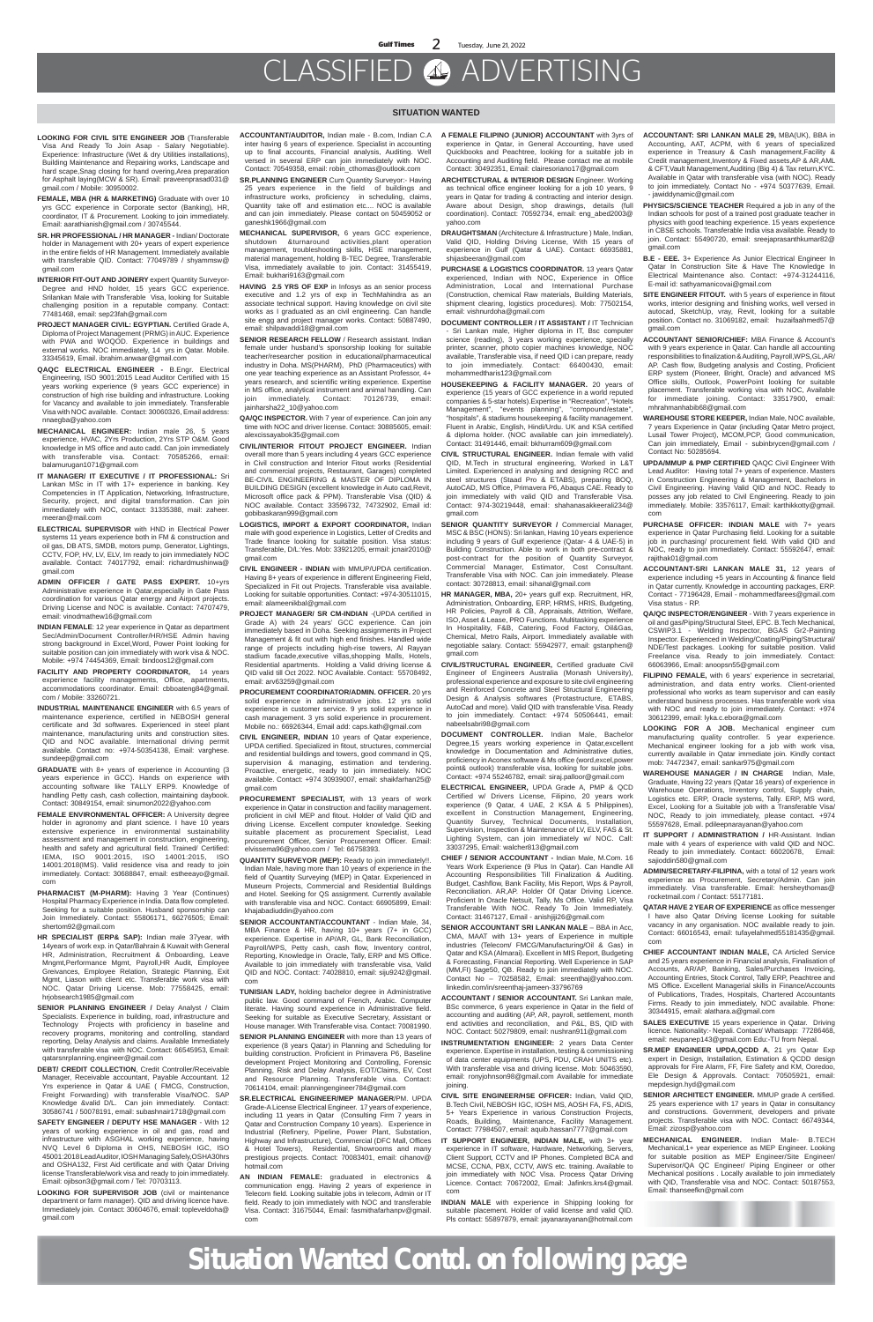# CLASSIFIED ADVERTISING

#### **SITUATION WANTED**

- **LOOKING FOR CIVIL SITE ENGINEER JOB** (Transferable Visa And Ready To Join Asap - Salary Negotiable). Experience: Infrastructure (Wet & dry Utilities installations), Building Maintenance and Repairing works, Landscape and hard scape,Snag closing for hand overing,Area preparation for Asphalt laying(MCW & SR). Email: praveenprasad031@ gmail.com / Mobile: 30950002.
- **FEMALE, MBA (HR & MARKETING)** Graduate with over 10 yrs GCC experience in Corporate sector (Banking), HR, coordinator, IT & Procurement. Looking to join immediately. Email: aarathianish@gmail.com / 30745544.
- **SR. HR PROFESSIONAL / HR MANAGER -** Indian/ Doctorate holder in Management with 20+ years of expert experience in the entire fields of HR Management. Immediately available with transferable QID. Contact: 77049789 / shyammsw@ gmail.com
- **INTERIOR FIT-OUT AND JOINERY** expert Quantity Surveyor-Degree and HND holder, 15 years GCC experience. Srilankan Male with Transferable Visa, looking for Suitable challenging position in a reputable company. Contact: 77481468, email: sep23fah@gmail.com
- **PROJECT MANAGER CIVIL: EGYPTIAN.** Certified Grade A, Diploma of Project Management (PRMG) in AUC. Experience with PWA and WOQOD. Experience in buildings and external works. NOC immediately, 14 yrs in Qatar. Mobile. 33345619, Email. ibrahim.anwaar@gmail.com
- **QAQC ELECTRICAL ENGINEER -** B.Engr. Electrical Engineering, ISO 9001:2015 Lead Auditor Certified with 15 years working experience (9 years GCC experience) in construction of high rise building and infrastructure. Looking for Vacancy and available to join immediately. Transferable Visa with NOC available. Contact: 30060326, Email address: nnaegba@yahoo.com
- **MECHANICAL ENGINEER:** Indian male 26, 5 years experience, HVAC, 2Yrs Production, 2Yrs STP O&M. Good knowledge in MS office and auto cadd. Can join immediately with transferable visa. Contact: 70585266, email: balamurugan1071@gmail.com
- **IT MANAGER/ IT EXECUTIVE / IT PROFESSIONAL:** Sri Lankan MSc in IT with 17+ experience in banking. Key Competencies in IT Application, Networking, Infrastructure, Security, project, and digital transformation. Can join immediately with NOC, contact: 31335388, mail: zaheer. meeran@mail.com
- **ELECTRICAL SUPERVISOR** with HND in Electrical Power systems 11 years experience both in FM & construction and oil gas, DB ATS, SMDB, motors pump, Generator, Lightings, CCTV, FOP, HV, LV, ELV, Im ready to join immediately NOC available. Contact: 74017792, email: richardmushinwa@ gmail.com
- **ADMIN OFFICER / GATE PASS EXPERT.** 10+yrs Administrative experience in Qatar,especially in Gate Pass coordination for various Qatar energy and Airport projects. Driving License and NOC is available. Contact: 74707479, email: vinodmathew16@gmail.com
- **INDIAN FEMALE**: 12 year experience in Qatar as department Sec/Admin/Document Controller/HR/HSE Admin having strong background in Excel,Word, Power Point looking for suitable position can join immediately with work visa & NOC. Mobile: +974 74454369, Email: bindoos12@gmail.com
- **FACILITY AND PROPERTY COORDINATOR,** 14 years experience facility managements, Office, apartments, accommodations coordinator. Email: cbboateng84@gmail. com / Mobile: 33260721.
- **INDUSTRIAL MAINTENANCE ENGINEER** with 6.5 years of maintenance experience, certified in NEBOSH general certificate and 3d softwares. Experienced in steel plant maintenance, manufacturing units and construction sites. QID and NOC available. International driving permit available. Contact no: +974-50354138, Email: varghese. sundeep@gmail.com
- **GRADUATE** with 8+ years of experience in Accounting (3 years experience in GCC). Hands on experience with accounting software like TALLY ERP9. Knowledge of

handling Petty cash, cash collection, maintaining daybook. Contact: 30849154, email: sinumon2022@yahoo.com

- **FEMALE ENVIRONMENTAL OFFICER:** A University degree holder in agronomy and plant science. I have 10 years extensive experience in environmental sustainability assessment and management in construction, engineering, health and safety and agricultural field. Trained/ Certified: IEMA, ISO 9001:2015, ISO 14001:2015, ISO 14001:2018(IMS). Valid residence visa and ready to join immediately. Contact: 30688847, email: estheeayo@gmail. com
- **PHARMACIST (M-PHARM):** Having 3 Year (Continues) Hospital Pharmacy Experience in India. Data flow completed. Seeking for a suitable position. Husband sponsorship can Join Immediately. Contact: 55806171, 66276505; Email: shertom92@gmail.com
- **HR SPECIALIST (ERP& SAP):** Indian male 37year, with 14years of work exp. in Qatar/Bahrain & Kuwait with General HR, Administration, Recruitment & Onboarding, Leave Mngmt,Performance Mgmt, Payroll,HR Audit, Employee Greivances, Employee Relation, Strategic Planning, Exit Mgmt, Liason with client etc. Transferable work visa with NOC. Qatar Driving License. Mob: 77558425, email: hrjobsearch1985@gmail.com
- **SENIOR PLANNING ENGINEER / Delay Analyst / Claim** Specialists. Experience in building, road, infrastructure and Technology Projects with proficiency in baseline and recovery programs, monitoring and controlling, standard reporting, Delay Analysis and claims. Available Immediately with transferable visa with NOC. Contact: 66545953, Email: qatarsnrplanning.engineer@gmail.com
- **DEBT/ CREDIT COLLECTION**, Credit Controller/Receivable Manager, Receivable accountant, Payable Accountant. 12 Yrs experience in Qatar & UAE ( FMCG, Construction, Freight Forwarding) with transferable Visa/NOC. SAP Knowledge &valid D/L. Can join immediately. Contact: 30586741 / 50078191, email: subashnair1718@gmail.com
- **SAFETY ENGINEER / DEPUTY HSE MANAGER** With 12 years of working experience in oil and gas, road and infrastructure with ASGHAL working experience, having NVQ Level 6 Diploma in OHS, NEBOSH IGC, ISO 45001:2018 Lead Auditor, IOSH Managing Safely,OSHA30hrs and OSHA132, First Aid certificate and with Qatar Driving license Transferable/work visa and ready to join immediately. Email: ojibson3@gmail.com / Tel: 70703113.
- **LOOKING FOR SUPERVISOR JOB** (civil or maintenance department or farm manager). QID and driving licence have. Immediately join. Contact: 30604676, email: topleveldoha@ gmail.com
- **ACCOUNTANT/AUDITOR,** Indian male B.com, Indian C.A inter having 6 years of experience. Specialist in accounting up to final accounts, Financial analysis, Auditing. Well versed in several ERP can join immediately with NOC. Contact: 70549358, email: robin\_cthomas@outlook.com
- **SR.PLANNING ENGINEER** Cum Quantity Surveyor:- Having 25 years experience in the field of buildings and infrastructure works, proficiency in scheduling, claims, Quantity take off and estimation etc.... NOC is available and can join immediately. Please contact on 50459052 or ganeshk1966@gmail.com
- **MECHANICAL SUPERVISOR,** 6 years GCC experience, shutdown &turnaround activities,plant operation management, troubleshooting skills, HSE management, material management, holding B-TEC Degree, Transferable Visa, immediately available to join. Contact: 31455419, Email: bukhari9163@gmail.com
- **HAVING 2.5 YRS OF EXP** in Infosys as an senior process executive and 1.2 yrs of exp in TechMahindra as an associate technical support. Having knowledge on civil site works as I graduated as an civil engineering. Can handle site engg and project manager works. Contact: 50887490. email: shilpavaddi18@gmail.com
- **SENIOR RESEARCH FELLOW** / Research assistant. Indian female under husband's sponsorship looking for suitable teacher/researcher position in educational/pharmaceutical industry in Doha. MS(PHARM), PhD (Pharmaceutics) with one year teaching experience as an Assistant Professor, 4+ years research, and scientific writing experience. Expertise in MS office, analytical instrument and animal handling. Can join immediately. Contact: 70126739, email: jainharsha22\_10@yahoo.com

**QA/QC INSPECTOR.** With 7 year of experience. Can join any time with NOC and driver license. Contact: 30885605, email: alexcissayabok35@gmail.com

- **CIVIL/INTERIOR FITOUT PROJECT ENGINEER.** Indian overall more than 5 years including 4 years GCC experience in Civil construction and Interior Fitout works (Residential and commercial projects, Restaurant, Garages) completed BE-CIVIL ENGINEERING & MASTER OF DIPLOMA IN BUILDING DESIGN (excellent knowledge in Auto cad,Revit, Microsoft office pack & PPM). Transferable Visa (QID) & NOC available. Contact: 33596732, 74732902, Email id: gobibaskaran999@gmail.com
- **LOGISTICS, IMPORT & EXPORT COORDINATOR,** Indian male with good experience in Logistics, Letter of Credits and Trade finance looking for suitable position. Visa status: Transferable, D/L:Yes. Mob: 33921205, ermail: jcnair2010@ gmail.com
- **CIVIL ENGINEER INDIAN** with MMUP/UPDA certification. Having 8+ years of experience in different Engineering Field, Specialized in Fit out Projects. Transferable visa available. Looking for suitable opportunities. Contact: +974-30511015, email: alameenikbal@gmail.com
- **PROJECT MANAGER/ SR CM-INDIAN** -(UPDA certified in Grade A) with 24 years' GCC experience. Can join immediately based in Doha. Seeking assignments in Project Management & fit out with high end finishes. Handled wide range of projects including high-rise towers, Al Rayyan stadium facade,executive villas,shopping Malls, Hotels, Residential apartments. Holding a Valid driving license & QID valid till Oct 2022. NOC Available. Contact: 55708492, email: arv63259@gmail.com
- **PROCUREMENT COORDINATOR/ADMIN. OFFICER.** 20 yrs solid experience in administrative jobs. 12 yrs solid experience in customer service. 9 yrs solid experience in cash management. 3 yrs solid experience in procurement. Mobile no.: 66926344, Email add: caps.kath@gmail.com
- **CIVIL ENGINEER, INDIAN** 10 years of Qatar experience, UPDA certified. Specialized in fitout, structures, commercial and residential buildings and towers, good command in QS, supervision & managing, estimation and tendering. Proactive, energetic, ready to join immediately. NOC available. Contact: +974 30939007, email: shaikfarhan25@ gmail.com

- **PROCUREMENT SPECIALIST,** with 13 years of work experience in Qatar in construction and facility management. proficient in civil MEP and fitout. Holder of Valid QID and driving License. Excellent computer knowledge. Seeking suitable placement as procurement Specialist, Lead procurement Officer, Senior Procurement Officer. Email: elvissema96@yahoo.com / Tel: 66758393.
- **QUANTITY SURVEYOR (MEP):** Ready to join immediately!!. Indian Male, having more than 10 years of experience in the field of Quantity Surveying (MEP) in Qatar. Experienced in Museum Projects, Commercial and Residential Buildings and Hotel. Seeking for QS assignment. Currently available with transferable visa and NOC. Contact: 66905899, Email: khajabadiuddin@yahoo.com
- **SENIOR ACCOUNTANT/ACCOUNTANT** Indian Male, 34, MBA Finance & HR, having 10+ years (7+ in GCC) experience. Expertise in AP/AR, GL, Bank Reconciliation, Payroll/WPS, Petty cash, cash flow, Inventory control, Reporting, Knowledge in Oracle, Tally, ERP and MS Office. Available to join immediately with transferable visa, Valid QID and NOC. Contact: 74028810, email: siju9242@gmail. com
- **TUNISIAN LADY,** holding bachelor degree in Administrative public law. Good command of French, Arabic. Computer literate. Having sound experience in Administrative field. Seeking for suitable as Executive Secretary, Assistant or House manager. With Transferable visa. Contact: 70081990.
- **SENIOR PLANNING ENGINEER** with more than 13 years of experience (8 years Qatar) in Planning and Scheduling for building construction. Proficient in Primavera P6, Baseline development Project Monitoring and Controlling, Forensic Planning, Risk and Delay Analysis, EOT/Claims, EV, Cost and Resource Planning. Transferable visa. Contact: 70614104, email: planningengineer784@gmail.com
- **SR.ELECTRICAL ENGINEER/MEP MANAGER**/PM. UPDA Grade-A License Electrical Engineer. 17 years of experience, including 11 years in Qatar (Consulting Firm 7 years in Qatar and Construction Company 10 years). Experience in Industrial (Refinery, Pipeline, Power Plant, Substation, Highway and Infrastructure), Commercial (DFC Mall, Offices & Hotel Towers), Residential, Showrooms and many prestigious projects. Contact: 70083401, email: cihanov@ hotmail.com
- **AN INDIAN FEMALE:** graduated in electronics & communication engg. Having 2 years of experience in Telecom field. Looking suitable jobs in telecom, Admin or IT field. Ready to join immediately with NOC and transferable Visa. Contact: 31675044, Email: fasmithafarhanpv@gmail. com
- **IT SUPPORT / ADMINISTRATION / HR-Assistant. Indian** male with 4 years of experience with valid QID and NOC. Ready to join immediately. Contact: 66020678, Email: sajioddin580@gmail.com
- **ADMIN/SECRETARY-FILIPINA,** with a total of 12 years work experience as Procurement, Secretary/Admin. Can join immediately. Visa transferable. Email: hersheythomas@ rocketmail.com / Contact: 55177181.
- **QATAR HAVE 2 YEAR OF EXPERIENCE** as office messenger I have also Qatar Driving license Looking for suitable vacancy in any organisation. NOC available ready to join. Contact: 66016543, email: tufayelahmed55181435@gmail. com
- **CHIEF ACCOUNTANT INDIAN MALE,** CA Articled Service and 25 years experience in Financial analysis, Finalisation of Accounts, AR/AP, Banking, Sales/Purchases Invoicing, Accounting Entries, Stock Control, Tally ERP, Peachtree and MS Office. Excellent Managerial skills in Finance/Accounts of Publications, Trades, Hospitals, Chartered Accountants Firms. Ready to join immediately, NOC available. Phone: 30344915, email: alathara.a@gmail.com
- **SALES EXECUTIVE** 15 years experience in Qatar. Driving licence. Nationality:- Nepali. Contact/ Whatsapp: 77286468, email: neupanep143@gmail.com Edu:-TU from Nepal.
- **SR.MEP ENGINEER UPDA,QCDD A**, 21 yrs Qatar Exp expert in Design, Installation, Estimation & QCDD design approvals for Fire Alarm, FF, Fire Safety and KM, Ooredoo, Ele Design & Approvals. Contact: 70505921, email: mepdesign.hyd@gmail.com
- **SENIOR ARCHITECT ENGINEER.** MMUP grade A certified. 25 years experience with 17 years in Qatar in consultancy and constructions. Government, developers and private projects. Transferable visa with NOC. Contact: 66749344, Email: zizosp@yahoo.com
- **MECHANICAL ENGINEER.** Indian Male- B.TECH Mechanical,1+ year experience as MEP Engineer. Looking for suitable position as MEP Engineer/Site Engineer/ Supervisor/QA QC Engineer/ Piping Engineer or other Mechanical positions . Locally available to join immediately with QID, Transferable visa and NOC. Contact: 50187553, Email: thanseefkn@gmail.com
- **A FEMALE FILIPINO (JUNIOR) ACCOUNTANT** with 3yrs of experience in Qatar, in General Accounting, have used Quickbooks and Peachtree, looking for a suitable job in Accounting and Auditing field. Please contact me at mobile Contact: 30492351, Email: clairesoriano17@gmail.com
- **ARCHITECTURAL & INTERIOR DESIGN** Engineer. Working as technical office engineer looking for a job 10 years, 9 years in Qatar for trading & contracting and interior design. Aware about Design, shop drawings, details (full coordination). Contact: 70592734, email: eng\_abed2003@ yahoo.com
- **DRAUGHTSMAN** (Architecture & Infrastructure ) Male, Indian, Valid QID, Holding Driving License, With 15 years of experience in Gulf (Qatar & UAE). Contact: 66935881, shijasbeeran@gmail.com
- **PURCHASE & LOGISTICS COORDINATOR.** 13 years Qatar experienced, Indian with NOC, Experience in Office Administration, Local and International Purchase (Construction, chemical Raw materials, Building Materials, shipment clearing, logistics procedures). Mob: 77502154, email: vishnurdoha@gmail.com
- **DOCUMENT CONTROLLER / IT ASSISTANT /** IT Technician - Sri Lankan male, Higher diploma in IT, Bsc computer science (reading), 3 years working experience, specially printer, scanner, photo copier machines knowledge, NOC available, Transferable visa, if need QID i can prepare, ready to join immediately. Contact: 66400430, email: mohammedtharis123@gmail.com
- **HOUSEKEEPING & FACILITY MANAGER.** 20 years of experience (15 years of GCC experience in a world reputed companies & 5-star hotels).Expertise in "Recreation", "Hotels Management", "events planning", "compound/estate", "hospitals", & stadiums housekeeping & facility management. Fluent in Arabic, English, Hindi/Urdu. UK and KSA certified & diploma holder. (NOC available can join immediately). Contact: 31491446, email: bkhurram609@gmail.com
- **CIVIL STRUCTURAL ENGINEER.** Indian female with valid QID, M.Tech in structural engineering, Worked in L&T Limited. Experienced in analysing and designing RCC and steel structures (Staad Pro & ETABS), preparing BOQ, AutoCAD, MS Office, Primavera P6, Abaqus CAE. Ready to join immediately with valid QID and Transferable Visa. Contact: 974-30219448, email: shahanasakkeerali234@ gmail.com
- **SENIOR QUANTITY SURVEYOR /** Commercial Manager, MSC & BSC (HONS): Sri lankan, Having 10 years experience including 9 years of Gulf experience (Qatar- 4 & UAE-5) in Building Construction. Able to work in both pre-contract & post-contract for the position of Quantity Surveyor, Commercial Manager, Estimator, Cost Consultant. Transferable Visa with NOC. Can join immediately. Please contact: 30728813, email: sihanal@gmail.com
- **HR MANAGER, MBA,** 20+ years gulf exp. Recruitment, HR, Administration, Onboarding, ERP, HRMS, HRIS, Budgeting, HR Policies, Payroll & CB, Appraisals, Attrition, Welfare, ISO, Asset & Lease, PRO Functions. Multitasking experience In Hospitality, F&B, Catering, Food Factory, Oil&Gas, Chemical, Metro Rails, Airport. Immediately available with negotiable salary. Contact: 55942977, email: gstanphen@ gmail.com
- **CIVIL/STRUCTURAL ENGINEER,** Certified graduate Civil Engineer of Engineers Australia (Monash University), professional experience and exposure to site civil engineering and Reinforced Concrete and Steel Structural Engineering Design & Analysis softwares (Protastructure, ETABS, AutoCad and more). Valid QID with transferable Visa. Ready to join immediately. Contact: +974 50506441, email: nabeelsabri98@gmail.com
- **DOCUMENT CONTROLLER.** Indian Male, Bachelor Degree,15 years working experience in Qatar,excellent knowledge in Documentation and Administrative duties, proficiency in Aconex software & Ms office (word,excel,power point& outlook) transferable visa, looking for suitable jobs. Contact: +974 55246782, email: siraj.palloor@gmail.com
- **ELECTRICAL ENGINEER,** UPDA Grade A, PMP & QCD
- Certified w/ Drivers License, Filipino, 20 years work experience (9 Qatar, 4 UAE, 2 KSA & 5 Philippines), excellent in Construction Management, Engineering, Quantity Survey, Technical Documents, Installation, Supervision, Inspection & Maintenance of LV, ELV, FAS & St. Lighting System, can join immediately w/ NOC. Call: 33037295, Email: walcher813@gmail.com
- **CHIEF / SENIOR ACCOUNTANT** Indian Male, M.Com. 16 Years Work Experience (9 Plus In Qatar). Can Handle All Accounting Responsibilities Till Finalization & Auditing. Budget, Cashflow, Bank Facility, Mis Report, Wps & Payroll, Reconciliation. AR,AP. Holder Of Qatar Driving Licence. Proficient In Oracle Netsuit, Tally, Ms Office. Valid RP, Visa Transferable With NOC. Ready To Join Immediately. Contact: 31467127, Email - anishjiji26@gmail.com
- **SENIOR ACCOUNTANT SRI LANKAN MALE**  BBA in Acc, CMA, MAAT with 13+ years of Experience in multiple industries (Telecom/ FMCG/Manufacturing/Oil & Gas) in Qatar and KSA (Almarai). Excellent in MIS Report, Budgeting & Forecasting, Financial Reporting. Well Experience in SAP (MM,FI) Sage50, QB. Ready to join immediately with NOC. Contact No – 70258582, Email: sreenthaj@yahoo.com. linkedin.com/in/sreenthaj-jameen-33796769
- **ACCOUNTANT / SENIOR ACCOUNTANT.** Sri Lankan male, BSc commerce, 6 years experience in Qatar in the field of accounting and auditing (AP, AR, payroll, settlement, month end activities and reconciliation, and P&L, BS, QID with NOC. Contact: 50279809, email: nushran911@gmail.com
- **INSTRUMENTATION ENGINEER:** 2 years Data Center experience. Expertise in installation, testing & commissioning of data center equipments (UPS, PDU, CRAH UNITS etc). With transferable visa and driving license. Mob: 50463590, email: ronyjohnson98@gmail.com Available for immediate joining.
- **CIVIL SITE ENGINEER/HSE OFFICER:** Indian, Valid QID, B.Tech Civil, NEBOSH IGC, IOSH MS, AOSH FA, FS, ADIS, 5+ Years Experience in various Construction Projects, Roads, Building, Maintenance, Facility Management. Contact: 77984507, email: aquib.hassan7777@gmail.com
- **IT SUPPORT ENGINEER, INDIAN MALE,** with 3+ year experience in IT software, Hardware, Networking, Servers, Client Support, CCTV and IP Phones. Completed BCA and MCSE, CCNA, PBX, CCTV, AWS etc. training. Available to join immediately with NOC Visa. Process Qatar Driving Licence. Contact: 70672002, Email: Jafinkrs.krs4@gmail. com
- **INDIAN MALE** with experience in Shipping looking for suitable placement. Holder of valid license and valid QID. Pls contact: 55897879, email: jayanarayanan@hotmail.com
- **ACCOUNTANT: SRI LANKAN MALE 29,** MBA(UK), BBA in Accounting, AAT, ACPM, with 6 years of specialized experience in Treasury & Cash management,Facility & Credit management,Inventory & Fixed assets,AP & AR,AML & CFT,Vault Management,Auditing (Big 4) & Tax return,KYC. Available in Qatar with transferable visa (with NOC). Ready to join immediately. Contact No - +974 50377639, Email. - jawiddynamic@gmail.com
- **PHYSICS/SCIENCE TEACHER** Required a job in any of the Indian schools for post of a trained post graduate teacher in physics with good teaching experience. 15 years experience in CBSE schools. Transferable India visa available. Ready to join. Contact: 55490720, email: sreejaprasanthkumar82@ gmail.com
- **B.E EEE.** 3+ Experience As Junior Electrical Engineer In Qatar In Construction Site & Have The Knowledge In Electrical Maintenance also. Contact: +974-31244116, E-mail id: sathyamanicovai@gmail.com
- **SITE ENGINEER FITOUT.** with 5 years of experience in fitout works, interior designing and finishing works, well versed in autocad, SketchUp, vray, Revit, looking for a suitable position. Contact no. 31069182, email: huzaifaahmed57@ gmail.com
- **ACCOUNTANT SENIOR/CHIEF:** MBA Finance & Account's with 9 years experience in Qatar. Can handle all accounting responsibilities to finalization & Auditing, Payroll,WPS,GL,AR/ AP. Cash flow, Budgeting analysis and Costing, Proficient ERP system (Pioneer, Bright, Oracle) and advanced MS Office skills, Outlook, PowerPoint looking for suitable placement. Transferable working visa with NOC, Available for immediate joining. Contact: 33517900, email: mhrahmanhabib68@gmail.com
- **WAREHOUSE STORE KEEPER,** Indian Male, NOC available, 7 years Experience in Qatar (including Qatar Metro project, Lusail Tower Project), MCOM,PCP, Good communication, Can join immediately, Email - subinbrycen@gmail.com / Contact No: 50285694.
- **UPDA/MMUP & PMP CERTIFIED** QAQC Civil Engineer With Lead Auditor: Having total 7+ years of experience. Masters in Construction Engineering & Management, Bachelors in Civil Engineering. Having Valid QID and NOC. Ready to posses any job related to Civil Engineering. Ready to join immediately. Mobile: 33576117, Email: karthikkotty@gmail. com
- **PURCHASE OFFICER: INDIAN MALE** with 7+ years experience in Qatar Purchasing field. Looking for a suitable job in purchasing/ procurement field. With valid QID and NOC, ready to join immediately. Contact: 55592647, email: rajithak01@gmail.com
- **ACCOUNTANT-SRI LANKAN MALE 31,** 12 years of experience including +5 years in Accounting & finance field in Qatar currently. Knowledge in accounting packages, ERP. Contact - 77196428, Email - mohammedfarees@gmail.com Visa status - RP.
- **QA/QC INSPECTOR/ENGINEER** With 7 years experience in oil and gas/Piping/Structural Steel, EPC. B.Tech Mechanical, CSWIP3.1 - Welding Inspector, BGAS Gr2-Painting Inspector. Experienced in Welding/Coating/Piping/Structural/ NDE/Test packages. Looking for suitable position. Valid Freelance visa. Ready to join immediately. Contact: 66063966, Email: anoopsn55@gmail.com
- **FILIPINO FEMALE,** with 6 years' experience in secretarial, administration, and data entry works. Client-oriented professional who works as team supervisor and can easily understand business processes. Has transferable work visa with NOC and ready to join immediately. Contact: +974 30612399, email: lyka.c.ebora@gmail.com
- **LOOKING FOR A JOB.** Mechanical engineer cum manufacturing quality controller. 5 year experience. Mechanical engineer looking for a job with work visa, currently available in Qatar immediate join. Kindly contact mob: 74472347, email: sankar975@gmail.com
- **WAREHOUSE MANAGER / IN CHARGE** Indian, Male, Graduate, Having 22 years (Qatar 16 years) of experience in Warehouse Operations, Inventory control, Supply chain Logistics etc. ERP, Oracle systems, Tally. ERP, MS word, Excel, Looking for a Suitable job with a Transferable Visa/ NOC, Ready to join immediately, please contact. +974 55597628, Email. pdileepnarayanan@yahoo.com

# **Situation Wanted Contd. on following page**